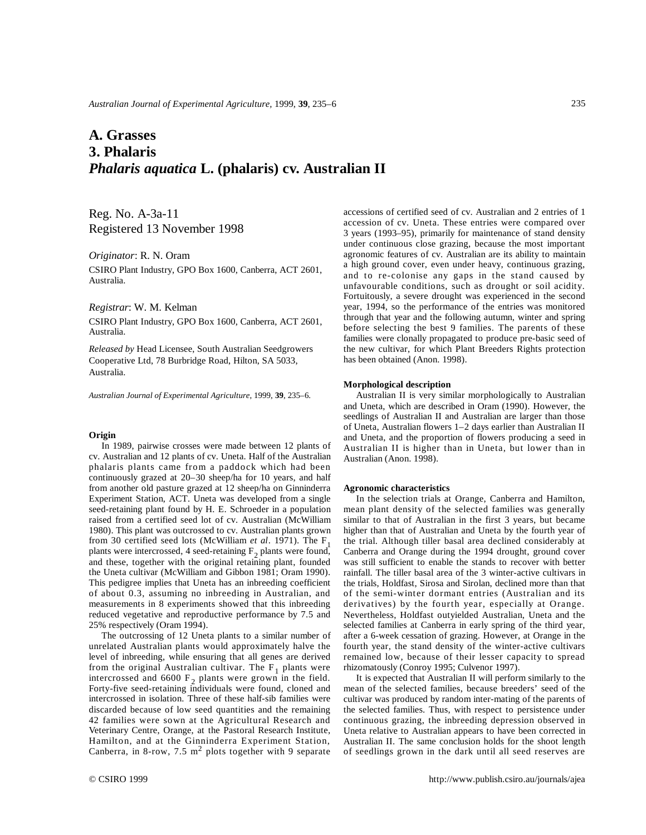# **A. Grasses 3. Phalaris**  *Phalaris aquatica* **L. (phalaris) cv. Australian II**

Reg. No. A-3a-11 Registered 13 November 1998

## *Originator*: R. N. Oram

CSIRO Plant Industry, GPO Box 1600, Canberra, ACT 2601, Australia.

## *Registrar*: W. M. Kelman

CSIRO Plant Industry, GPO Box 1600, Canberra, ACT 2601, Australia.

*Released by* Head Licensee, South Australian Seedgrowers Cooperative Ltd, 78 Burbridge Road, Hilton, SA 5033, Australia.

*Australian Journal of Experimental Agriculture*, 1999, **39**, 235–6.

#### **Origin**

In 1989, pairwise crosses were made between 12 plants of cv. Australian and 12 plants of cv. Uneta. Half of the Australian phalaris plants came from a paddock which had been continuously grazed at 20–30 sheep/ha for 10 years, and half from another old pasture grazed at 12 sheep/ha on Ginninderra Experiment Station, ACT. Uneta was developed from a single seed-retaining plant found by H. E. Schroeder in a population raised from a certified seed lot of cv. Australian (McWilliam 1980). This plant was outcrossed to cv. Australian plants grown from 30 certified seed lots (McWilliam *et al*. 1971). The F<sup>1</sup> plants were intercrossed, 4 seed-retaining  $F_2$  plants were found, and these, together with the original retaining plant, founded the Uneta cultivar (McWilliam and Gibbon 1981; Oram 1990). This pedigree implies that Uneta has an inbreeding coefficient of about 0.3, assuming no inbreeding in Australian, and measurements in 8 experiments showed that this inbreeding reduced vegetative and reproductive performance by 7.5 and 25% respectively (Oram 1994).

The outcrossing of 12 Uneta plants to a similar number of unrelated Australian plants would approximately halve the level of inbreeding, while ensuring that all genes are derived from the original Australian cultivar. The  $F_1$  plants were intercrossed and 6600  $F_2$  plants were grown in the field. Forty-five seed-retaining individuals were found, cloned and intercrossed in isolation. Three of these half-sib families were discarded because of low seed quantities and the remaining 42 families were sown at the Agricultural Research and Veterinary Centre, Orange, at the Pastoral Research Institute, Hamilton, and at the Ginninderra Experiment Station, Canberra, in 8-row, 7.5  $m^2$  plots together with 9 separate

accessions of certified seed of cv. Australian and 2 entries of 1 accession of cv. Uneta. These entries were compared over 3 years (1993–95), primarily for maintenance of stand density under continuous close grazing, because the most important agronomic features of cv. Australian are its ability to maintain a high ground cover, even under heavy, continuous grazing, and to re-colonise any gaps in the stand caused by unfavourable conditions, such as drought or soil acidity. Fortuitously, a severe drought was experienced in the second year, 1994, so the performance of the entries was monitored through that year and the following autumn, winter and spring before selecting the best 9 families. The parents of these families were clonally propagated to produce pre-basic seed of the new cultivar, for which Plant Breeders Rights protection has been obtained (Anon. 1998).

### **Morphological description**

Australian II is very similar morphologically to Australian and Uneta, which are described in Oram (1990). However, the seedlings of Australian II and Australian are larger than those of Uneta, Australian flowers 1–2 days earlier than Australian II and Uneta, and the proportion of flowers producing a seed in Australian II is higher than in Uneta, but lower than in Australian (Anon. 1998).

## **Agronomic characteristics**

In the selection trials at Orange, Canberra and Hamilton, mean plant density of the selected families was generally similar to that of Australian in the first 3 years, but became higher than that of Australian and Uneta by the fourth year of the trial. Although tiller basal area declined considerably at Canberra and Orange during the 1994 drought, ground cover was still sufficient to enable the stands to recover with better rainfall. The tiller basal area of the 3 winter-active cultivars in the trials, Holdfast, Sirosa and Sirolan, declined more than that of the semi-winter dormant entries (Australian and its derivatives) by the fourth year, especially at Orange. Nevertheless, Holdfast outyielded Australian, Uneta and the selected families at Canberra in early spring of the third year, after a 6-week cessation of grazing. However, at Orange in the fourth year, the stand density of the winter-active cultivars remained low, because of their lesser capacity to spread rhizomatously (Conroy 1995; Culvenor 1997).

It is expected that Australian II will perform similarly to the mean of the selected families, because breeders' seed of the cultivar was produced by random inter-mating of the parents of the selected families. Thus, with respect to persistence under continuous grazing, the inbreeding depression observed in Uneta relative to Australian appears to have been corrected in Australian II. The same conclusion holds for the shoot length of seedlings grown in the dark until all seed reserves are